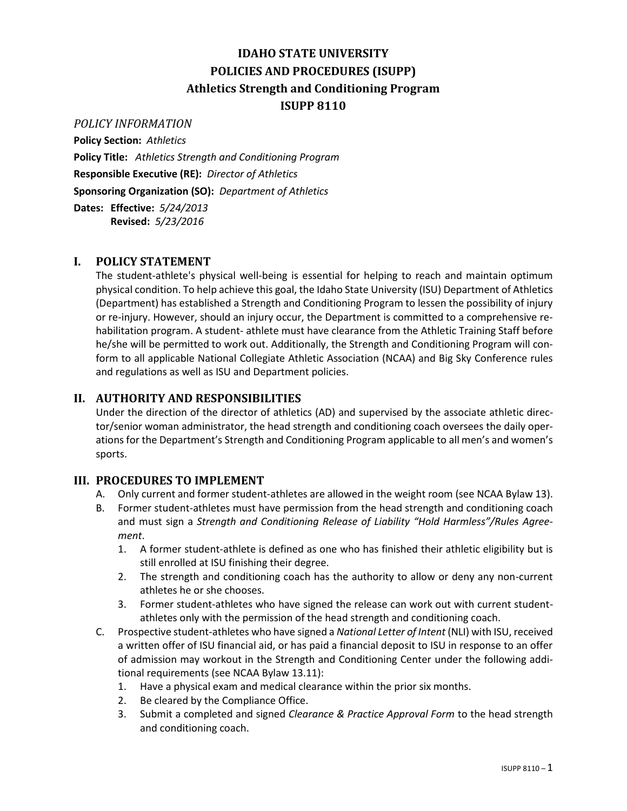# **IDAHO STATE UNIVERSITY POLICIES AND PROCEDURES (ISUPP) Athletics Strength and Conditioning Program ISUPP 8110**

#### *POLICY INFORMATION*

**Policy Section:** *Athletics* **Policy Title:** *Athletics Strength and Conditioning Program* **Responsible Executive (RE):** *Director of Athletics* **Sponsoring Organization (SO):** *Department of Athletics* **Dates: Effective:** *5/24/2013*

**Revised:** *5/23/2016*

## **I. POLICY STATEMENT**

The student-athlete's physical well-being is essential for helping to reach and maintain optimum physical condition. To help achieve this goal, the Idaho State University (ISU) Department of Athletics (Department) has established a Strength and Conditioning Program to lessen the possibility of injury or re-injury. However, should an injury occur, the Department is committed to a comprehensive rehabilitation program. A student- athlete must have clearance from the Athletic Training Staff before he/she will be permitted to work out. Additionally, the Strength and Conditioning Program will conform to all applicable National Collegiate Athletic Association (NCAA) and Big Sky Conference rules and regulations as well as ISU and Department policies.

## **II. AUTHORITY AND RESPONSIBILITIES**

Under the direction of the director of athletics (AD) and supervised by the associate athletic director/senior woman administrator, the head strength and conditioning coach oversees the daily operations for the Department's Strength and Conditioning Program applicable to all men's and women's sports.

### **III. PROCEDURES TO IMPLEMENT**

- A. Only current and former student-athletes are allowed in the weight room (see NCAA Bylaw 13).
- B. Former student-athletes must have permission from the head strength and conditioning coach and must sign a *Strength and Conditioning Release of Liability "Hold Harmless"/Rules Agreement*.
	- 1. A former student-athlete is defined as one who has finished their athletic eligibility but is still enrolled at ISU finishing their degree.
	- 2. The strength and conditioning coach has the authority to allow or deny any non-current athletes he or she chooses.
	- 3. Former student-athletes who have signed the release can work out with current studentathletes only with the permission of the head strength and conditioning coach.
- C. Prospective student-athletes who have signed a *National Letter of Intent* (NLI) with ISU, received a written offer of ISU financial aid, or has paid a financial deposit to ISU in response to an offer of admission may workout in the Strength and Conditioning Center under the following additional requirements (see NCAA Bylaw 13.11):
	- 1. Have a physical exam and medical clearance within the prior six months.
	- 2. Be cleared by the Compliance Office.
	- 3. Submit a completed and signed *Clearance & Practice Approval Form* to the head strength and conditioning coach.